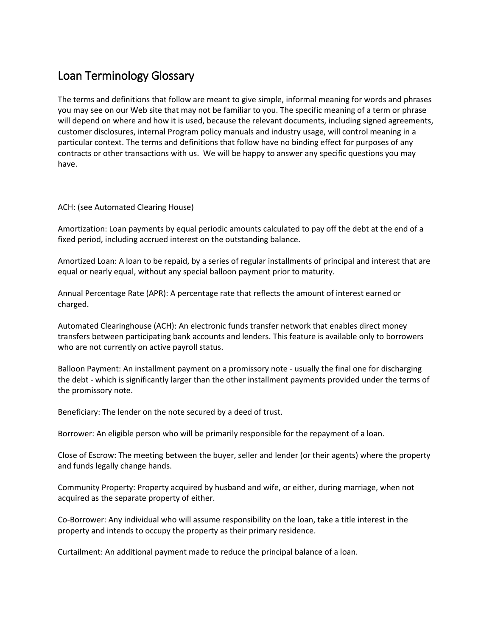## Loan Terminology Glossary

The terms and definitions that follow are meant to give simple, informal meaning for words and phrases you may see on our Web site that may not be familiar to you. The specific meaning of a term or phrase will depend on where and how it is used, because the relevant documents, including signed agreements, customer disclosures, internal Program policy manuals and industry usage, will control meaning in a particular context. The terms and definitions that follow have no binding effect for purposes of any contracts or other transactions with us. We will be happy to answer any specific questions you may have.

ACH: (see Automated Clearing House)

Amortization: Loan payments by equal periodic amounts calculated to pay off the debt at the end of a fixed period, including accrued interest on the outstanding balance.

Amortized Loan: A loan to be repaid, by a series of regular installments of principal and interest that are equal or nearly equal, without any special balloon payment prior to maturity.

Annual Percentage Rate (APR): A percentage rate that reflects the amount of interest earned or charged.

Automated Clearinghouse (ACH): An electronic funds transfer network that enables direct money transfers between participating bank accounts and lenders. This feature is available only to borrowers who are not currently on active payroll status.

Balloon Payment: An installment payment on a promissory note - usually the final one for discharging the debt - which is significantly larger than the other installment payments provided under the terms of the promissory note.

Beneficiary: The lender on the note secured by a deed of trust.

Borrower: An eligible person who will be primarily responsible for the repayment of a loan.

Close of Escrow: The meeting between the buyer, seller and lender (or their agents) where the property and funds legally change hands.

Community Property: Property acquired by husband and wife, or either, during marriage, when not acquired as the separate property of either.

Co-Borrower: Any individual who will assume responsibility on the loan, take a title interest in the property and intends to occupy the property as their primary residence.

Curtailment: An additional payment made to reduce the principal balance of a loan.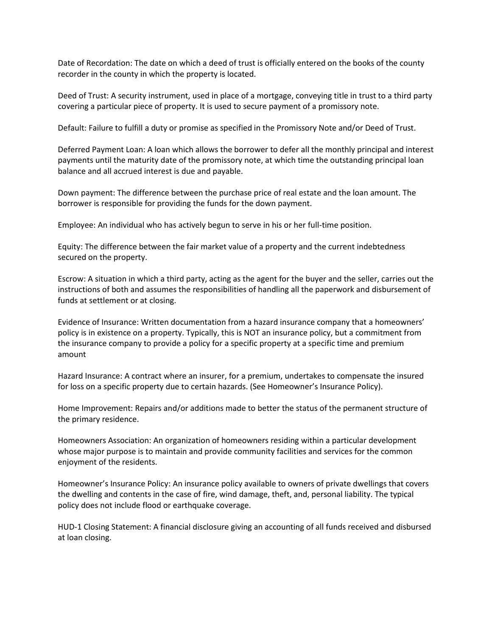Date of Recordation: The date on which a deed of trust is officially entered on the books of the county recorder in the county in which the property is located.

Deed of Trust: A security instrument, used in place of a mortgage, conveying title in trust to a third party covering a particular piece of property. It is used to secure payment of a promissory note.

Default: Failure to fulfill a duty or promise as specified in the Promissory Note and/or Deed of Trust.

Deferred Payment Loan: A loan which allows the borrower to defer all the monthly principal and interest payments until the maturity date of the promissory note, at which time the outstanding principal loan balance and all accrued interest is due and payable.

Down payment: The difference between the purchase price of real estate and the loan amount. The borrower is responsible for providing the funds for the down payment.

Employee: An individual who has actively begun to serve in his or her full-time position.

Equity: The difference between the fair market value of a property and the current indebtedness secured on the property.

Escrow: A situation in which a third party, acting as the agent for the buyer and the seller, carries out the instructions of both and assumes the responsibilities of handling all the paperwork and disbursement of funds at settlement or at closing.

Evidence of Insurance: Written documentation from a hazard insurance company that a homeowners' policy is in existence on a property. Typically, this is NOT an insurance policy, but a commitment from the insurance company to provide a policy for a specific property at a specific time and premium amount

Hazard Insurance: A contract where an insurer, for a premium, undertakes to compensate the insured for loss on a specific property due to certain hazards. (See Homeowner's Insurance Policy).

Home Improvement: Repairs and/or additions made to better the status of the permanent structure of the primary residence.

Homeowners Association: An organization of homeowners residing within a particular development whose major purpose is to maintain and provide community facilities and services for the common enjoyment of the residents.

Homeowner's Insurance Policy: An insurance policy available to owners of private dwellings that covers the dwelling and contents in the case of fire, wind damage, theft, and, personal liability. The typical policy does not include flood or earthquake coverage.

HUD-1 Closing Statement: A financial disclosure giving an accounting of all funds received and disbursed at loan closing.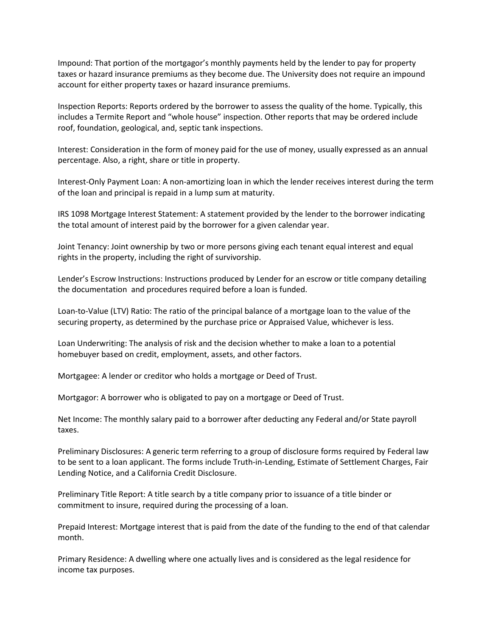Impound: That portion of the mortgagor's monthly payments held by the lender to pay for property taxes or hazard insurance premiums as they become due. The University does not require an impound account for either property taxes or hazard insurance premiums.

Inspection Reports: Reports ordered by the borrower to assess the quality of the home. Typically, this includes a Termite Report and "whole house" inspection. Other reports that may be ordered include roof, foundation, geological, and, septic tank inspections.

Interest: Consideration in the form of money paid for the use of money, usually expressed as an annual percentage. Also, a right, share or title in property.

Interest-Only Payment Loan: A non-amortizing loan in which the lender receives interest during the term of the loan and principal is repaid in a lump sum at maturity.

IRS 1098 Mortgage Interest Statement: A statement provided by the lender to the borrower indicating the total amount of interest paid by the borrower for a given calendar year.

Joint Tenancy: Joint ownership by two or more persons giving each tenant equal interest and equal rights in the property, including the right of survivorship.

Lender's Escrow Instructions: Instructions produced by Lender for an escrow or title company detailing the documentation and procedures required before a loan is funded.

Loan-to-Value (LTV) Ratio: The ratio of the principal balance of a mortgage loan to the value of the securing property, as determined by the purchase price or Appraised Value, whichever is less.

Loan Underwriting: The analysis of risk and the decision whether to make a loan to a potential homebuyer based on credit, employment, assets, and other factors.

Mortgagee: A lender or creditor who holds a mortgage or Deed of Trust.

Mortgagor: A borrower who is obligated to pay on a mortgage or Deed of Trust.

Net Income: The monthly salary paid to a borrower after deducting any Federal and/or State payroll taxes.

Preliminary Disclosures: A generic term referring to a group of disclosure forms required by Federal law to be sent to a loan applicant. The forms include Truth-in-Lending, Estimate of Settlement Charges, Fair Lending Notice, and a California Credit Disclosure.

Preliminary Title Report: A title search by a title company prior to issuance of a title binder or commitment to insure, required during the processing of a loan.

Prepaid Interest: Mortgage interest that is paid from the date of the funding to the end of that calendar month.

Primary Residence: A dwelling where one actually lives and is considered as the legal residence for income tax purposes.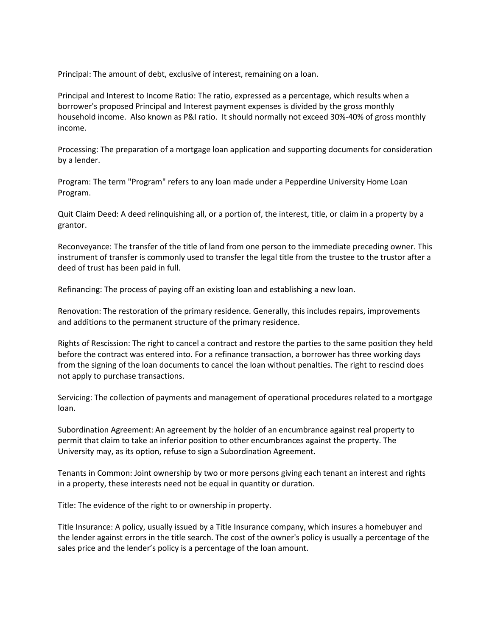Principal: The amount of debt, exclusive of interest, remaining on a loan.

Principal and Interest to Income Ratio: The ratio, expressed as a percentage, which results when a borrower's proposed Principal and Interest payment expenses is divided by the gross monthly household income. Also known as P&I ratio. It should normally not exceed 30%-40% of gross monthly income.

Processing: The preparation of a mortgage loan application and supporting documents for consideration by a lender.

Program: The term "Program" refers to any loan made under a Pepperdine University Home Loan Program.

Quit Claim Deed: A deed relinquishing all, or a portion of, the interest, title, or claim in a property by a grantor.

Reconveyance: The transfer of the title of land from one person to the immediate preceding owner. This instrument of transfer is commonly used to transfer the legal title from the trustee to the trustor after a deed of trust has been paid in full.

Refinancing: The process of paying off an existing loan and establishing a new loan.

Renovation: The restoration of the primary residence. Generally, this includes repairs, improvements and additions to the permanent structure of the primary residence.

Rights of Rescission: The right to cancel a contract and restore the parties to the same position they held before the contract was entered into. For a refinance transaction, a borrower has three working days from the signing of the loan documents to cancel the loan without penalties. The right to rescind does not apply to purchase transactions.

Servicing: The collection of payments and management of operational procedures related to a mortgage loan.

Subordination Agreement: An agreement by the holder of an encumbrance against real property to permit that claim to take an inferior position to other encumbrances against the property. The University may, as its option, refuse to sign a Subordination Agreement.

Tenants in Common: Joint ownership by two or more persons giving each tenant an interest and rights in a property, these interests need not be equal in quantity or duration.

Title: The evidence of the right to or ownership in property.

Title Insurance: A policy, usually issued by a Title Insurance company, which insures a homebuyer and the lender against errors in the title search. The cost of the owner's policy is usually a percentage of the sales price and the lender's policy is a percentage of the loan amount.